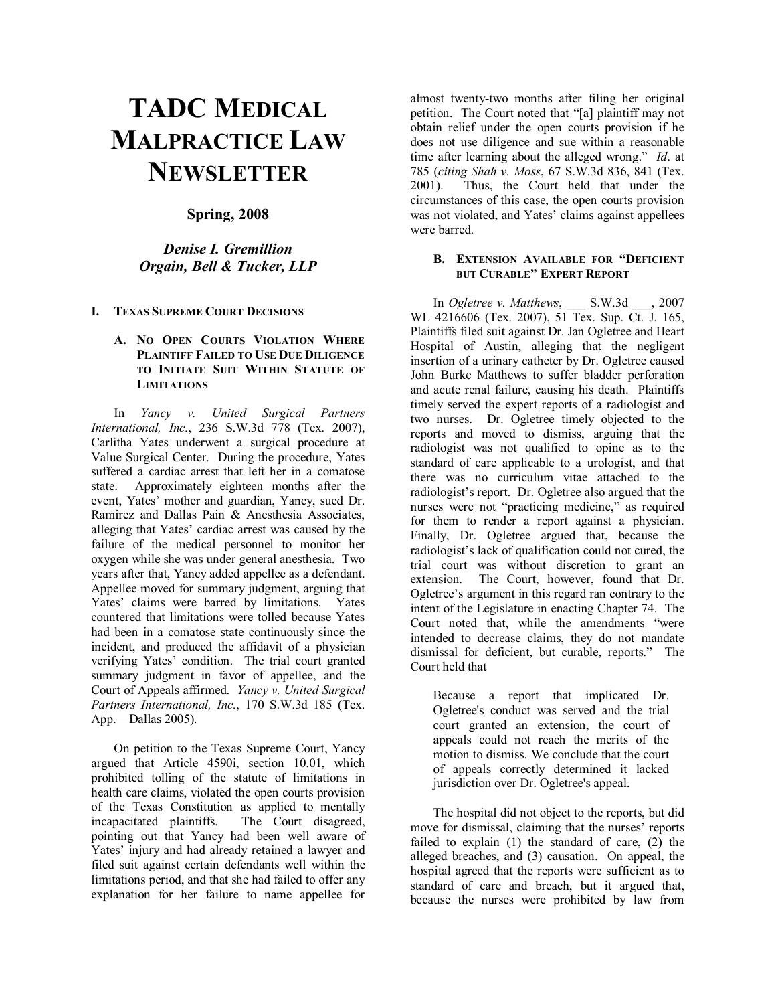# **TADC MEDICAL MALPRACTICE LAW NEWSLETTER**

### **Spring, 2008**

## *Denise I. Gremillion Orgain, Bell & Tucker, LLP*

**I. TEXAS SUPREME COURT DECISIONS** 

#### **A. NO OPEN COURTS VIOLATION WHERE PLAINTIFF FAILED TO USE DUE DILIGENCE TO INITIATE SUIT WITHIN STATUTE OF LIMITATIONS**

In *Yancy v. United Surgical Partners International, Inc.*, 236 S.W.3d 778 (Tex. 2007), Carlitha Yates underwent a surgical procedure at Value Surgical Center. During the procedure, Yates suffered a cardiac arrest that left her in a comatose state. Approximately eighteen months after the event, Yates' mother and guardian, Yancy, sued Dr. Ramirez and Dallas Pain & Anesthesia Associates, alleging that Yates' cardiac arrest was caused by the failure of the medical personnel to monitor her oxygen while she was under general anesthesia. Two years after that, Yancy added appellee as a defendant. Appellee moved for summary judgment, arguing that Yates' claims were barred by limitations. Yates countered that limitations were tolled because Yates had been in a comatose state continuously since the incident, and produced the affidavit of a physician verifying Yates' condition. The trial court granted summary judgment in favor of appellee, and the Court of Appeals affirmed. *Yancy v. United Surgical Partners International, Inc.*, 170 S.W.3d 185 (Tex. App.—Dallas 2005).

On petition to the Texas Supreme Court, Yancy argued that Article 4590i, section 10.01, which prohibited tolling of the statute of limitations in health care claims, violated the open courts provision of the Texas Constitution as applied to mentally incapacitated plaintiffs. The Court disagreed, pointing out that Yancy had been well aware of Yates' injury and had already retained a lawyer and filed suit against certain defendants well within the limitations period, and that she had failed to offer any explanation for her failure to name appellee for

almost twenty-two months after filing her original petition. The Court noted that "[a] plaintiff may not obtain relief under the open courts provision if he does not use diligence and sue within a reasonable time after learning about the alleged wrong.<sup>n</sup> *Id*. at 785 (*citing Shah v. Moss*, 67 S.W.3d 836, 841 (Tex. Thus, the Court held that under the circumstances of this case, the open courts provision was not violated, and Yates' claims against appellees were barred.

#### **B. EXTENSION AVAILABLE FOR "DEFICIENT BUT CURABLE" EXPERT REPORT**

In *Ogletree v. Matthews*, \_\_\_ S.W.3d \_\_\_, 2007 WL 4216606 (Tex. 2007), 51 Tex. Sup. Ct. J. 165, Plaintiffs filed suit against Dr. Jan Ogletree and Heart Hospital of Austin, alleging that the negligent insertion of a urinary catheter by Dr. Ogletree caused John Burke Matthews to suffer bladder perforation and acute renal failure, causing his death. Plaintiffs timely served the expert reports of a radiologist and two nurses. Dr. Ogletree timely objected to the reports and moved to dismiss, arguing that the radiologist was not qualified to opine as to the standard of care applicable to a urologist, and that there was no curriculum vitae attached to the radiologist's report. Dr. Ogletree also argued that the nurses were not "practicing medicine," as required for them to render a report against a physician. Finally, Dr. Ogletree argued that, because the radiologist's lack of qualification could not cured, the trial court was without discretion to grant an extension. The Court, however, found that Dr. Ogletree's argument in this regard ran contrary to the intent of the Legislature in enacting Chapter 74. The Court noted that, while the amendments "were intended to decrease claims, they do not mandate dismissal for deficient, but curable, reports." The Court held that

Because a report that implicated Dr. Ogletree's conduct was served and the trial court granted an extension, the court of appeals could not reach the merits of the motion to dismiss. We conclude that the court of appeals correctly determined it lacked jurisdiction over Dr. Ogletree's appeal.

The hospital did not object to the reports, but did move for dismissal, claiming that the nurses' reports failed to explain (1) the standard of care, (2) the alleged breaches, and (3) causation. On appeal, the hospital agreed that the reports were sufficient as to standard of care and breach, but it argued that, because the nurses were prohibited by law from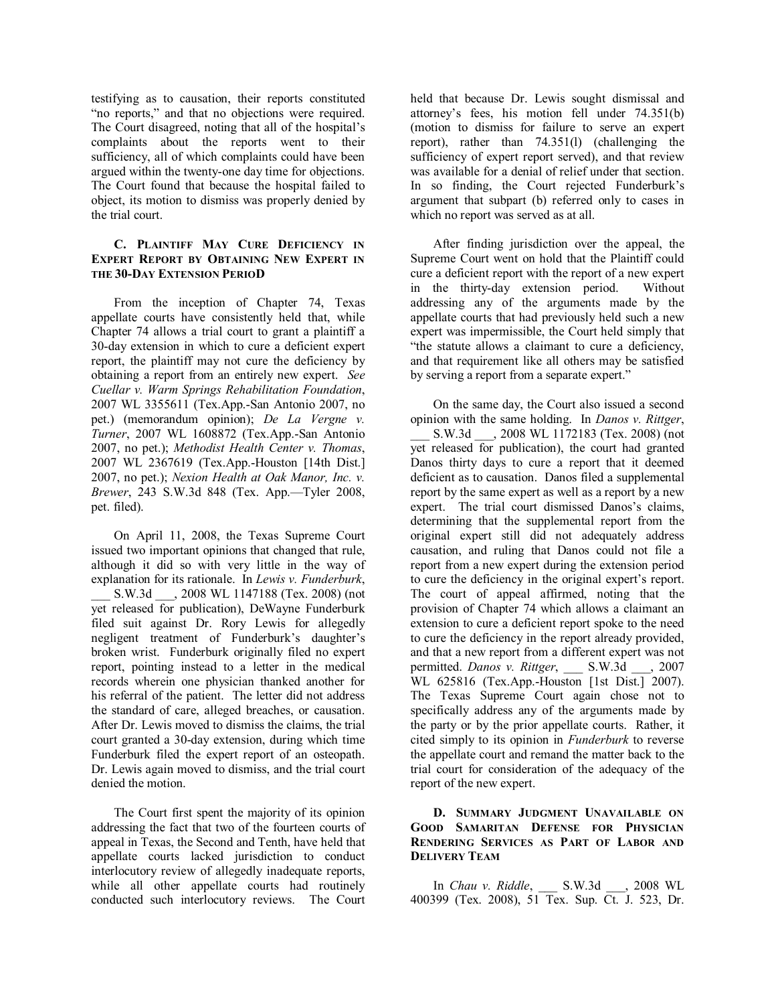testifying as to causation, their reports constituted "no reports," and that no objections were required. The Court disagreed, noting that all of the hospital's complaints about the reports went to their sufficiency, all of which complaints could have been argued within the twenty-one day time for objections. The Court found that because the hospital failed to object, its motion to dismiss was properly denied by the trial court.

#### **C. PLAINTIFF MAY CURE DEFICIENCY IN EXPERT REPORT BY OBTAINING NEW EXPERT IN THE 30-DAY EXTENSION PERIOD**

From the inception of Chapter 74, Texas appellate courts have consistently held that, while Chapter 74 allows a trial court to grant a plaintiff a 30-day extension in which to cure a deficient expert report, the plaintiff may not cure the deficiency by obtaining a report from an entirely new expert. *See Cuellar v. Warm Springs Rehabilitation Foundation*, 2007 WL 3355611 (Tex.App.-San Antonio 2007, no pet.) (memorandum opinion); *De La Vergne v. Turner*, 2007 WL 1608872 (Tex.App.-San Antonio 2007, no pet.); *Methodist Health Center v. Thomas*, 2007 WL 2367619 (Tex.App.-Houston [14th Dist.] 2007, no pet.); *Nexion Health at Oak Manor, Inc. v. Brewer*, 243 S.W.3d 848 (Tex. App.—Tyler 2008, pet. filed).

On April 11, 2008, the Texas Supreme Court issued two important opinions that changed that rule, although it did so with very little in the way of explanation for its rationale. In *Lewis v. Funderburk*, S.W.3d \_\_\_, 2008 WL 1147188 (Tex. 2008) (not yet released for publication), DeWayne Funderburk filed suit against Dr. Rory Lewis for allegedly negligent treatment of Funderburk's daughter's broken wrist. Funderburk originally filed no expert report, pointing instead to a letter in the medical records wherein one physician thanked another for his referral of the patient. The letter did not address the standard of care, alleged breaches, or causation. After Dr. Lewis moved to dismiss the claims, the trial court granted a 30-day extension, during which time Funderburk filed the expert report of an osteopath. Dr. Lewis again moved to dismiss, and the trial court denied the motion.

The Court first spent the majority of its opinion addressing the fact that two of the fourteen courts of appeal in Texas, the Second and Tenth, have held that appellate courts lacked jurisdiction to conduct interlocutory review of allegedly inadequate reports, while all other appellate courts had routinely conducted such interlocutory reviews. The Court held that because Dr. Lewis sought dismissal and attorney's fees, his motion fell under 74.351(b) (motion to dismiss for failure to serve an expert report), rather than 74.351(l) (challenging the sufficiency of expert report served), and that review was available for a denial of relief under that section. In so finding, the Court rejected Funderburk's argument that subpart (b) referred only to cases in which no report was served as at all.

After finding jurisdiction over the appeal, the Supreme Court went on hold that the Plaintiff could cure a deficient report with the report of a new expert in the thirty-day extension period. Without addressing any of the arguments made by the appellate courts that had previously held such a new expert was impermissible, the Court held simply that "the statute allows a claimant to cure a deficiency, and that requirement like all others may be satisfied by serving a report from a separate expert."

On the same day, the Court also issued a second opinion with the same holding. In *Danos v. Rittger*, \_\_\_ S.W.3d \_\_\_, 2008 WL 1172183 (Tex. 2008) (not yet released for publication), the court had granted Danos thirty days to cure a report that it deemed deficient as to causation. Danos filed a supplemental report by the same expert as well as a report by a new expert. The trial court dismissed Danos's claims, determining that the supplemental report from the original expert still did not adequately address causation, and ruling that Danos could not file a report from a new expert during the extension period to cure the deficiency in the original expert's report. The court of appeal affirmed, noting that the provision of Chapter 74 which allows a claimant an extension to cure a deficient report spoke to the need to cure the deficiency in the report already provided, and that a new report from a different expert was not permitted. *Danos v. Rittger*, \_\_\_ S.W.3d \_\_\_, 2007 WL 625816 (Tex.App.-Houston [1st Dist.] 2007). The Texas Supreme Court again chose not to specifically address any of the arguments made by the party or by the prior appellate courts. Rather, it cited simply to its opinion in *Funderburk* to reverse the appellate court and remand the matter back to the trial court for consideration of the adequacy of the report of the new expert.

#### **D. SUMMARY JUDGMENT UNAVAILABLE ON GOOD SAMARITAN DEFENSE FOR PHYSICIAN RENDERING SERVICES AS PART OF LABOR AND DELIVERY TEAM**

In *Chau v. Riddle*, \_\_\_ S.W.3d \_\_\_, 2008 WL 400399 (Tex. 2008), 51 Tex. Sup. Ct. J. 523, Dr.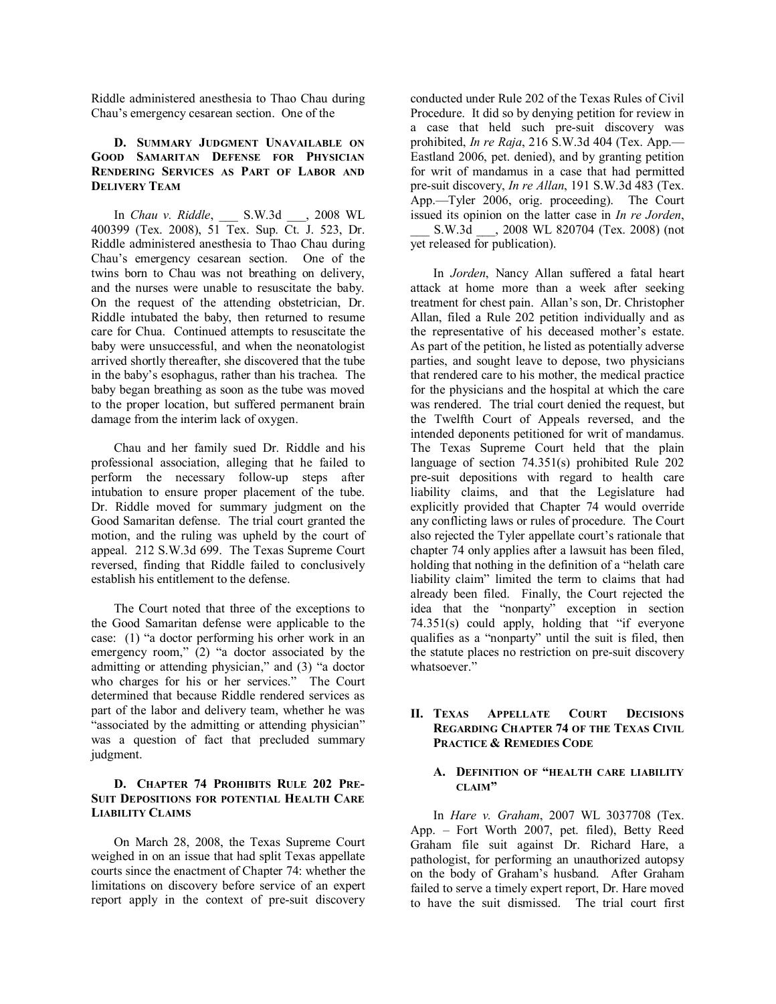Riddle administered anesthesia to Thao Chau during Chauís emergency cesarean section. One of the

#### **D. SUMMARY JUDGMENT UNAVAILABLE ON GOOD SAMARITAN DEFENSE FOR PHYSICIAN RENDERING SERVICES AS PART OF LABOR AND DELIVERY TEAM**

In *Chau v. Riddle*, \_\_\_ S.W.3d \_\_\_, 2008 WL 400399 (Tex. 2008), 51 Tex. Sup. Ct. J. 523, Dr. Riddle administered anesthesia to Thao Chau during Chauís emergency cesarean section. One of the twins born to Chau was not breathing on delivery, and the nurses were unable to resuscitate the baby. On the request of the attending obstetrician, Dr. Riddle intubated the baby, then returned to resume care for Chua. Continued attempts to resuscitate the baby were unsuccessful, and when the neonatologist arrived shortly thereafter, she discovered that the tube in the baby's esophagus, rather than his trachea. The baby began breathing as soon as the tube was moved to the proper location, but suffered permanent brain damage from the interim lack of oxygen.

Chau and her family sued Dr. Riddle and his professional association, alleging that he failed to perform the necessary follow-up steps after intubation to ensure proper placement of the tube. Dr. Riddle moved for summary judgment on the Good Samaritan defense. The trial court granted the motion, and the ruling was upheld by the court of appeal. 212 S.W.3d 699. The Texas Supreme Court reversed, finding that Riddle failed to conclusively establish his entitlement to the defense.

The Court noted that three of the exceptions to the Good Samaritan defense were applicable to the case:  $(1)$  "a doctor performing his orher work in an emergency room,"  $(2)$  "a doctor associated by the admitting or attending physician," and  $(3)$  "a doctor who charges for his or her services." The Court determined that because Riddle rendered services as part of the labor and delivery team, whether he was "associated by the admitting or attending physician" was a question of fact that precluded summary judgment.

#### **D. CHAPTER 74 PROHIBITS RULE 202 PRE-SUIT DEPOSITIONS FOR POTENTIAL HEALTH CARE LIABILITY CLAIMS**

On March 28, 2008, the Texas Supreme Court weighed in on an issue that had split Texas appellate courts since the enactment of Chapter 74: whether the limitations on discovery before service of an expert report apply in the context of pre-suit discovery

conducted under Rule 202 of the Texas Rules of Civil Procedure. It did so by denying petition for review in a case that held such pre-suit discovery was prohibited, *In re Raja*, 216 S.W.3d 404 (Tex. App.— Eastland 2006, pet. denied), and by granting petition for writ of mandamus in a case that had permitted pre-suit discovery, *In re Allan*, 191 S.W.3d 483 (Tex. App.—Tyler 2006, orig. proceeding). The Court issued its opinion on the latter case in *In re Jorden*, S.W.3d  $\qquad$ , 2008 WL 820704 (Tex. 2008) (not yet released for publication).

In *Jorden*, Nancy Allan suffered a fatal heart attack at home more than a week after seeking treatment for chest pain. Allan's son, Dr. Christopher Allan, filed a Rule 202 petition individually and as the representative of his deceased mother's estate. As part of the petition, he listed as potentially adverse parties, and sought leave to depose, two physicians that rendered care to his mother, the medical practice for the physicians and the hospital at which the care was rendered. The trial court denied the request, but the Twelfth Court of Appeals reversed, and the intended deponents petitioned for writ of mandamus. The Texas Supreme Court held that the plain language of section 74.351(s) prohibited Rule 202 pre-suit depositions with regard to health care liability claims, and that the Legislature had explicitly provided that Chapter 74 would override any conflicting laws or rules of procedure. The Court also rejected the Tyler appellate court's rationale that chapter 74 only applies after a lawsuit has been filed, holding that nothing in the definition of a "helath care" liability claim" limited the term to claims that had already been filed. Finally, the Court rejected the idea that the "nonparty" exception in section  $74.351(s)$  could apply, holding that "if everyone qualifies as a "nonparty" until the suit is filed, then the statute places no restriction on pre-suit discovery whatsoever."

#### **II. TEXAS APPELLATE COURT DECISIONS REGARDING CHAPTER 74 OF THE TEXAS CIVIL PRACTICE & REMEDIES CODE**

#### A. DEFINITION OF "HEALTH CARE LIABILITY **CLAIMî**

In *Hare v. Graham*, 2007 WL 3037708 (Tex. App. – Fort Worth 2007, pet. filed), Betty Reed Graham file suit against Dr. Richard Hare, a pathologist, for performing an unauthorized autopsy on the body of Graham's husband. After Graham failed to serve a timely expert report, Dr. Hare moved to have the suit dismissed. The trial court first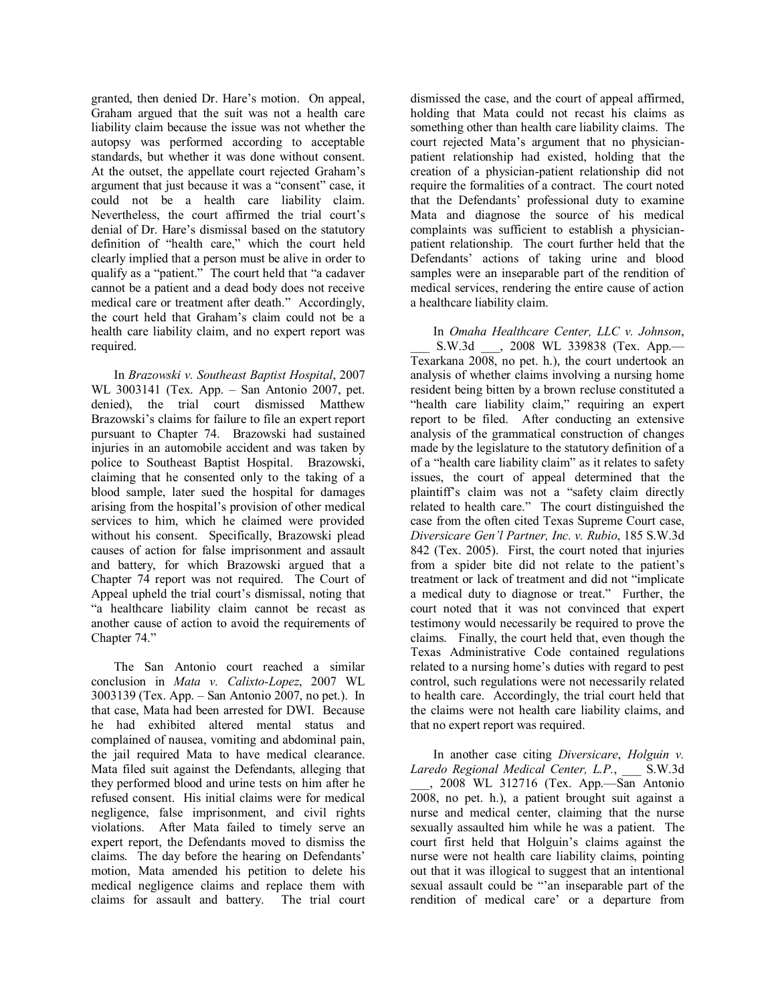granted, then denied Dr. Hare's motion. On appeal, Graham argued that the suit was not a health care liability claim because the issue was not whether the autopsy was performed according to acceptable standards, but whether it was done without consent. At the outset, the appellate court rejected Graham's argument that just because it was a "consent" case, it could not be a health care liability claim. Nevertheless, the court affirmed the trial court's denial of Dr. Hare's dismissal based on the statutory definition of "health care," which the court held clearly implied that a person must be alive in order to qualify as a "patient." The court held that "a cadaver cannot be a patient and a dead body does not receive medical care or treatment after death." Accordingly, the court held that Graham's claim could not be a health care liability claim, and no expert report was required.

In *Brazowski v. Southeast Baptist Hospital*, 2007 WL 3003141 (Tex. App. – San Antonio 2007, pet. denied), the trial court dismissed Matthew Brazowski's claims for failure to file an expert report pursuant to Chapter 74. Brazowski had sustained injuries in an automobile accident and was taken by police to Southeast Baptist Hospital. Brazowski, claiming that he consented only to the taking of a blood sample, later sued the hospital for damages arising from the hospital's provision of other medical services to him, which he claimed were provided without his consent. Specifically, Brazowski plead causes of action for false imprisonment and assault and battery, for which Brazowski argued that a Chapter 74 report was not required. The Court of Appeal upheld the trial court's dismissal, noting that ìa healthcare liability claim cannot be recast as another cause of action to avoid the requirements of Chapter 74."

The San Antonio court reached a similar conclusion in *Mata v. Calixto-Lopez*, 2007 WL  $3003139$  (Tex. App. – San Antonio 2007, no pet.). In that case, Mata had been arrested for DWI. Because he had exhibited altered mental status and complained of nausea, vomiting and abdominal pain, the jail required Mata to have medical clearance. Mata filed suit against the Defendants, alleging that they performed blood and urine tests on him after he refused consent. His initial claims were for medical negligence, false imprisonment, and civil rights violations. After Mata failed to timely serve an expert report, the Defendants moved to dismiss the claims. The day before the hearing on Defendants' motion, Mata amended his petition to delete his medical negligence claims and replace them with claims for assault and battery. The trial court

dismissed the case, and the court of appeal affirmed, holding that Mata could not recast his claims as something other than health care liability claims. The court rejected Mata's argument that no physicianpatient relationship had existed, holding that the creation of a physician-patient relationship did not require the formalities of a contract. The court noted that the Defendants' professional duty to examine Mata and diagnose the source of his medical complaints was sufficient to establish a physicianpatient relationship. The court further held that the Defendants' actions of taking urine and blood samples were an inseparable part of the rendition of medical services, rendering the entire cause of action a healthcare liability claim.

In *Omaha Healthcare Center, LLC v. Johnson*, S.W.3d \_\_\_, 2008 WL 339838 (Tex. App. Texarkana 2008, no pet. h.), the court undertook an analysis of whether claims involving a nursing home resident being bitten by a brown recluse constituted a "health care liability claim," requiring an expert report to be filed. After conducting an extensive analysis of the grammatical construction of changes made by the legislature to the statutory definition of a of a "health care liability claim" as it relates to safety issues, the court of appeal determined that the plaintiff's claim was not a "safety claim directly related to health care." The court distinguished the case from the often cited Texas Supreme Court case, *Diversicare Geníl Partner, Inc. v. Rubio*, 185 S.W.3d 842 (Tex. 2005). First, the court noted that injuries from a spider bite did not relate to the patient's treatment or lack of treatment and did not "implicate a medical duty to diagnose or treat." Further, the court noted that it was not convinced that expert testimony would necessarily be required to prove the claims. Finally, the court held that, even though the Texas Administrative Code contained regulations related to a nursing home's duties with regard to pest control, such regulations were not necessarily related to health care. Accordingly, the trial court held that the claims were not health care liability claims, and that no expert report was required.

In another case citing *Diversicare*, *Holguin v. Laredo Regional Medical Center, L.P.*, \_\_\_ S.W.3d  $\_\_\_$ , 2008 WL 312716 (Tex. App.—San Antonio 2008, no pet. h.), a patient brought suit against a nurse and medical center, claiming that the nurse sexually assaulted him while he was a patient. The court first held that Holguin's claims against the nurse were not health care liability claims, pointing out that it was illogical to suggest that an intentional sexual assault could be "'an inseparable part of the rendition of medical care' or a departure from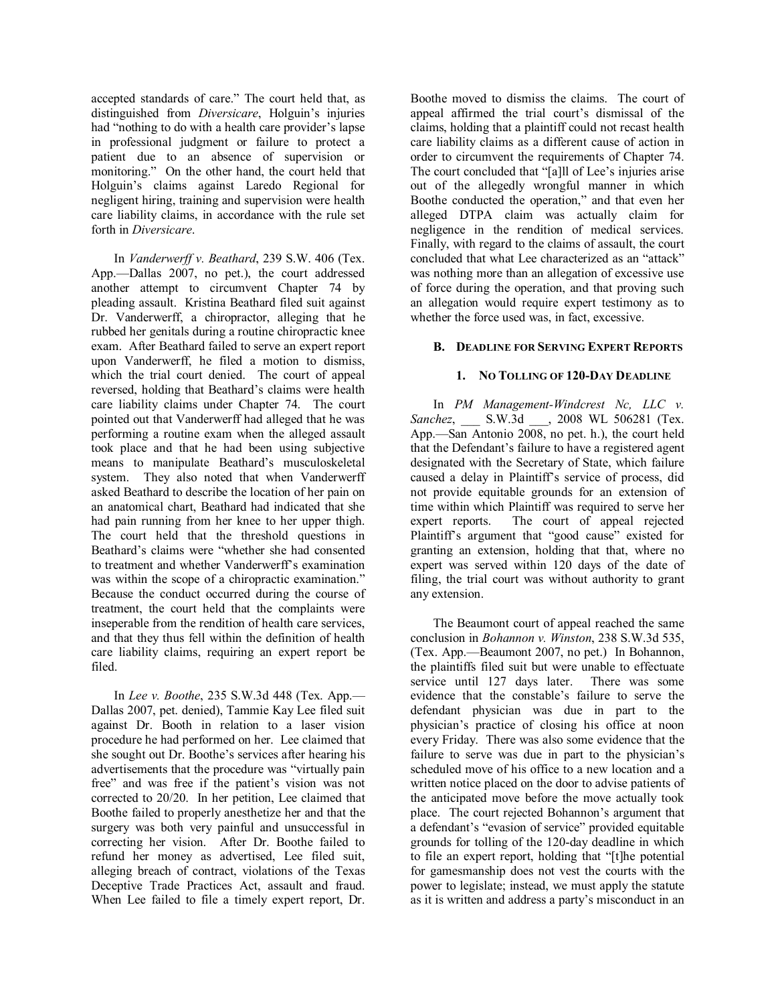accepted standards of care." The court held that, as distinguished from *Diversicare*, Holguin's injuries had "nothing to do with a health care provider's lapse in professional judgment or failure to protect a patient due to an absence of supervision or monitoring." On the other hand, the court held that Holguin's claims against Laredo Regional for negligent hiring, training and supervision were health care liability claims, in accordance with the rule set forth in *Diversicare*.

In *Vanderwerff v. Beathard*, 239 S.W. 406 (Tex. App.—Dallas  $2007$ , no pet.), the court addressed another attempt to circumvent Chapter 74 by pleading assault. Kristina Beathard filed suit against Dr. Vanderwerff, a chiropractor, alleging that he rubbed her genitals during a routine chiropractic knee exam. After Beathard failed to serve an expert report upon Vanderwerff, he filed a motion to dismiss, which the trial court denied. The court of appeal reversed, holding that Beathard's claims were health care liability claims under Chapter 74. The court pointed out that Vanderwerff had alleged that he was performing a routine exam when the alleged assault took place and that he had been using subjective means to manipulate Beathard's musculoskeletal system. They also noted that when Vanderwerff asked Beathard to describe the location of her pain on an anatomical chart, Beathard had indicated that she had pain running from her knee to her upper thigh. The court held that the threshold questions in Beathard's claims were "whether she had consented to treatment and whether Vanderwerff's examination was within the scope of a chiropractic examination.<sup>"</sup> Because the conduct occurred during the course of treatment, the court held that the complaints were inseperable from the rendition of health care services, and that they thus fell within the definition of health care liability claims, requiring an expert report be filed.

In *Lee v. Boothe*, 235 S.W.3d 448 (Tex. App.— Dallas 2007, pet. denied), Tammie Kay Lee filed suit against Dr. Booth in relation to a laser vision procedure he had performed on her. Lee claimed that she sought out Dr. Boothe's services after hearing his advertisements that the procedure was "virtually pain free" and was free if the patient's vision was not corrected to 20/20. In her petition, Lee claimed that Boothe failed to properly anesthetize her and that the surgery was both very painful and unsuccessful in correcting her vision. After Dr. Boothe failed to refund her money as advertised, Lee filed suit, alleging breach of contract, violations of the Texas Deceptive Trade Practices Act, assault and fraud. When Lee failed to file a timely expert report, Dr.

Boothe moved to dismiss the claims. The court of appeal affirmed the trial court's dismissal of the claims, holding that a plaintiff could not recast health care liability claims as a different cause of action in order to circumvent the requirements of Chapter 74. The court concluded that "[a]ll of Lee's injuries arise out of the allegedly wrongful manner in which Boothe conducted the operation," and that even her alleged DTPA claim was actually claim for negligence in the rendition of medical services. Finally, with regard to the claims of assault, the court concluded that what Lee characterized as an "attack" was nothing more than an allegation of excessive use of force during the operation, and that proving such an allegation would require expert testimony as to whether the force used was, in fact, excessive.

#### **B. DEADLINE FOR SERVING EXPERT REPORTS**

#### **1. NO TOLLING OF 120-DAY DEADLINE**

In *PM Management-Windcrest Nc, LLC v. Sanchez*, \_\_\_ S.W.3d \_\_\_, 2008 WL 506281 (Tex. App.—San Antonio  $2008$ , no pet. h.), the court held that the Defendant's failure to have a registered agent designated with the Secretary of State, which failure caused a delay in Plaintiff's service of process, did not provide equitable grounds for an extension of time within which Plaintiff was required to serve her expert reports. The court of appeal rejected Plaintiff's argument that "good cause" existed for granting an extension, holding that that, where no expert was served within 120 days of the date of filing, the trial court was without authority to grant any extension.

The Beaumont court of appeal reached the same conclusion in *Bohannon v. Winston*, 238 S.W.3d 535,  $(Tex. App.$ —Beaumont 2007, no pet.) In Bohannon, the plaintiffs filed suit but were unable to effectuate service until 127 days later. There was some evidence that the constable's failure to serve the defendant physician was due in part to the physician's practice of closing his office at noon every Friday. There was also some evidence that the failure to serve was due in part to the physician's scheduled move of his office to a new location and a written notice placed on the door to advise patients of the anticipated move before the move actually took place. The court rejected Bohannon's argument that a defendant's "evasion of service" provided equitable grounds for tolling of the 120-day deadline in which to file an expert report, holding that "[t]he potential for gamesmanship does not vest the courts with the power to legislate; instead, we must apply the statute as it is written and address a party's misconduct in an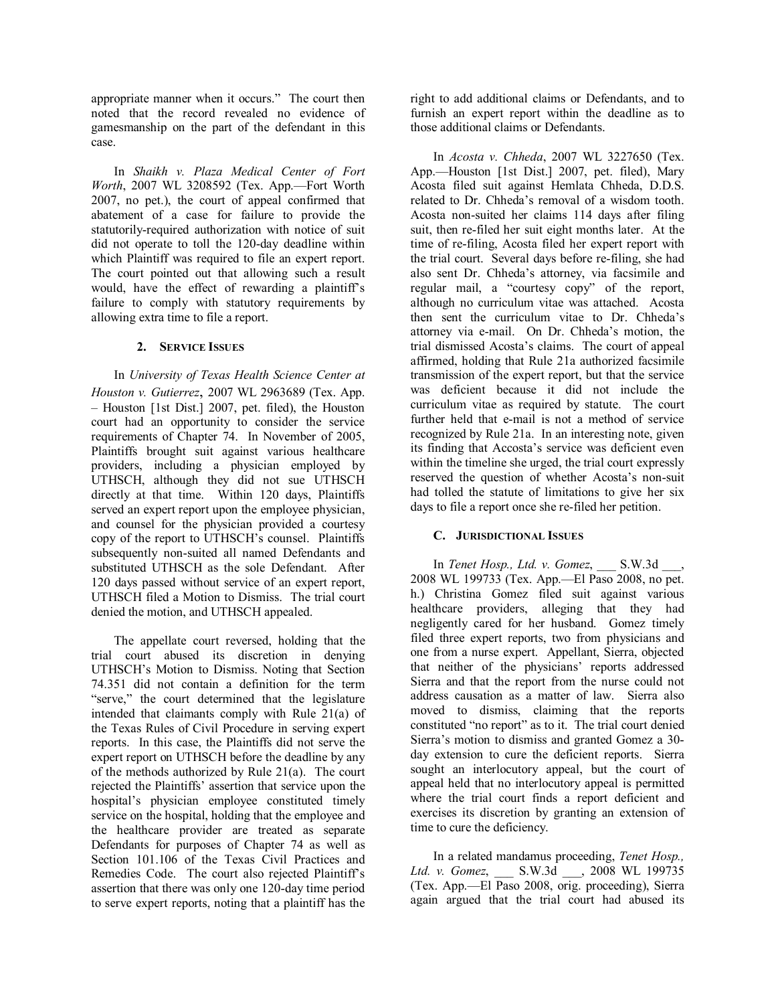appropriate manner when it occurs." The court then noted that the record revealed no evidence of gamesmanship on the part of the defendant in this case.

In *Shaikh v. Plaza Medical Center of Fort Worth*, 2007 WL 3208592 (Tex. App.-Fort Worth 2007, no pet.), the court of appeal confirmed that abatement of a case for failure to provide the statutorily-required authorization with notice of suit did not operate to toll the 120-day deadline within which Plaintiff was required to file an expert report. The court pointed out that allowing such a result would, have the effect of rewarding a plaintiff's failure to comply with statutory requirements by allowing extra time to file a report.

#### **2. SERVICE ISSUES**

In *University of Texas Health Science Center at Houston v. Gutierrez*, 2007 WL 2963689 (Tex. App.  $-$  Houston [1st Dist.] 2007, pet. filed), the Houston court had an opportunity to consider the service requirements of Chapter 74. In November of 2005, Plaintiffs brought suit against various healthcare providers, including a physician employed by UTHSCH, although they did not sue UTHSCH directly at that time. Within 120 days, Plaintiffs served an expert report upon the employee physician, and counsel for the physician provided a courtesy copy of the report to UTHSCH's counsel. Plaintiffs subsequently non-suited all named Defendants and substituted UTHSCH as the sole Defendant. After 120 days passed without service of an expert report, UTHSCH filed a Motion to Dismiss. The trial court denied the motion, and UTHSCH appealed.

The appellate court reversed, holding that the trial court abused its discretion in denying UTHSCH's Motion to Dismiss. Noting that Section 74.351 did not contain a definition for the term "serve," the court determined that the legislature intended that claimants comply with Rule 21(a) of the Texas Rules of Civil Procedure in serving expert reports. In this case, the Plaintiffs did not serve the expert report on UTHSCH before the deadline by any of the methods authorized by Rule 21(a). The court rejected the Plaintiffs' assertion that service upon the hospital's physician employee constituted timely service on the hospital, holding that the employee and the healthcare provider are treated as separate Defendants for purposes of Chapter 74 as well as Section 101.106 of the Texas Civil Practices and Remedies Code. The court also rejected Plaintiff's assertion that there was only one 120-day time period to serve expert reports, noting that a plaintiff has the

right to add additional claims or Defendants, and to furnish an expert report within the deadline as to those additional claims or Defendants.

In *Acosta v. Chheda*, 2007 WL 3227650 (Tex. App.-Houston [1st Dist.] 2007, pet. filed), Mary Acosta filed suit against Hemlata Chheda, D.D.S. related to Dr. Chheda's removal of a wisdom tooth. Acosta non-suited her claims 114 days after filing suit, then re-filed her suit eight months later. At the time of re-filing, Acosta filed her expert report with the trial court. Several days before re-filing, she had also sent Dr. Chheda's attorney, via facsimile and regular mail, a "courtesy copy" of the report, although no curriculum vitae was attached. Acosta then sent the curriculum vitae to Dr. Chheda's attorney via e-mail. On Dr. Chheda's motion, the trial dismissed Acosta's claims. The court of appeal affirmed, holding that Rule 21a authorized facsimile transmission of the expert report, but that the service was deficient because it did not include the curriculum vitae as required by statute. The court further held that e-mail is not a method of service recognized by Rule 21a. In an interesting note, given its finding that Accosta's service was deficient even within the timeline she urged, the trial court expressly reserved the question of whether Acosta's non-suit had tolled the statute of limitations to give her six days to file a report once she re-filed her petition.

#### **C. JURISDICTIONAL ISSUES**

In *Tenet Hosp., Ltd. v. Gomez*, \_\_\_ S.W.3d \_\_\_, 2008 WL 199733 (Tex. App.—El Paso 2008, no pet. h.) Christina Gomez filed suit against various healthcare providers, alleging that they had negligently cared for her husband. Gomez timely filed three expert reports, two from physicians and one from a nurse expert. Appellant, Sierra, objected that neither of the physicians' reports addressed Sierra and that the report from the nurse could not address causation as a matter of law. Sierra also moved to dismiss, claiming that the reports constituted "no report" as to it. The trial court denied Sierra's motion to dismiss and granted Gomez a 30day extension to cure the deficient reports. Sierra sought an interlocutory appeal, but the court of appeal held that no interlocutory appeal is permitted where the trial court finds a report deficient and exercises its discretion by granting an extension of time to cure the deficiency.

In a related mandamus proceeding, *Tenet Hosp., Ltd. v. Gomez*, \_\_\_ S.W.3d \_\_\_, 2008 WL 199735 (Tex. App.—El Paso 2008, orig. proceeding), Sierra again argued that the trial court had abused its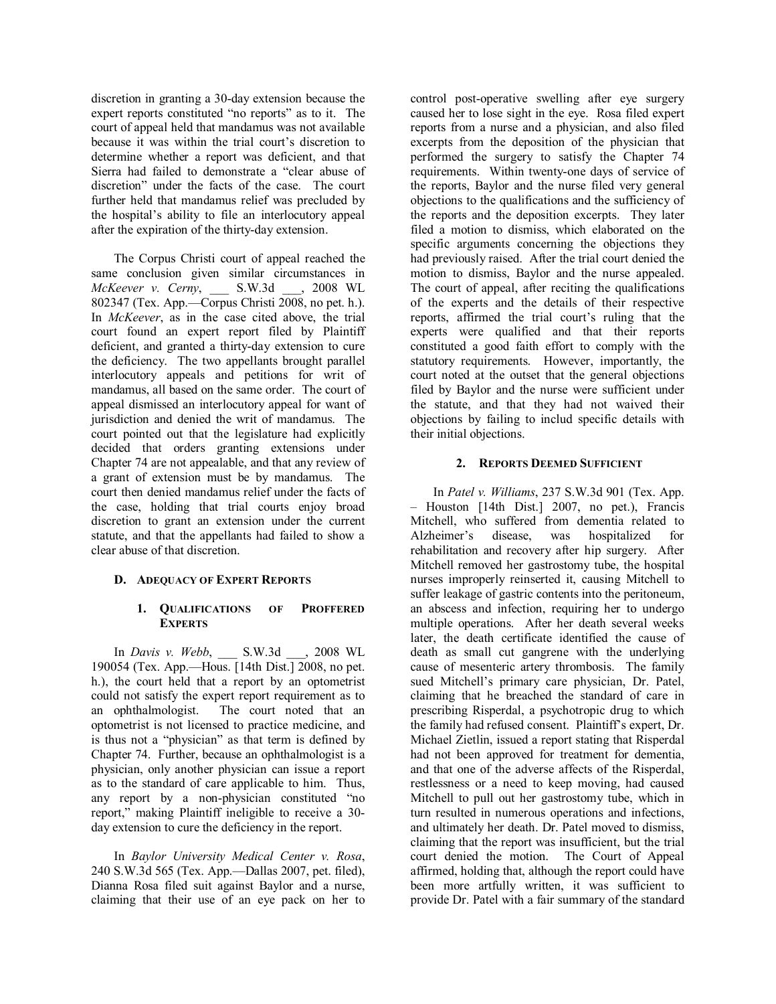discretion in granting a 30-day extension because the expert reports constituted "no reports" as to it. The court of appeal held that mandamus was not available because it was within the trial court's discretion to determine whether a report was deficient, and that Sierra had failed to demonstrate a "clear abuse of discretion" under the facts of the case. The court further held that mandamus relief was precluded by the hospital's ability to file an interlocutory appeal after the expiration of the thirty-day extension.

The Corpus Christi court of appeal reached the same conclusion given similar circumstances in *McKeever v. Cerny*, \_\_\_ S.W.3d \_\_\_, 2008 WL 802347 (Tex. App.—Corpus Christi 2008, no pet. h.). In *McKeever*, as in the case cited above, the trial court found an expert report filed by Plaintiff deficient, and granted a thirty-day extension to cure the deficiency. The two appellants brought parallel interlocutory appeals and petitions for writ of mandamus, all based on the same order. The court of appeal dismissed an interlocutory appeal for want of jurisdiction and denied the writ of mandamus. The court pointed out that the legislature had explicitly decided that orders granting extensions under Chapter 74 are not appealable, and that any review of a grant of extension must be by mandamus. The court then denied mandamus relief under the facts of the case, holding that trial courts enjoy broad discretion to grant an extension under the current statute, and that the appellants had failed to show a clear abuse of that discretion.

#### **D. ADEQUACY OF EXPERT REPORTS**

#### **1. QUALIFICATIONS OF PROFFERED EXPERTS**

In *Davis v. Webb*, \_\_\_ S.W.3d \_\_\_, 2008 WL 190054 (Tex. App.—Hous. [14th Dist.] 2008, no pet. h.), the court held that a report by an optometrist could not satisfy the expert report requirement as to an ophthalmologist. The court noted that an optometrist is not licensed to practice medicine, and is thus not a "physician" as that term is defined by Chapter 74. Further, because an ophthalmologist is a physician, only another physician can issue a report as to the standard of care applicable to him. Thus, any report by a non-physician constituted "no report," making Plaintiff ineligible to receive a 30day extension to cure the deficiency in the report.

In *Baylor University Medical Center v. Rosa*, 240 S.W.3d 565 (Tex. App.—Dallas 2007, pet. filed), Dianna Rosa filed suit against Baylor and a nurse, claiming that their use of an eye pack on her to

control post-operative swelling after eye surgery caused her to lose sight in the eye. Rosa filed expert reports from a nurse and a physician, and also filed excerpts from the deposition of the physician that performed the surgery to satisfy the Chapter 74 requirements. Within twenty-one days of service of the reports, Baylor and the nurse filed very general objections to the qualifications and the sufficiency of the reports and the deposition excerpts. They later filed a motion to dismiss, which elaborated on the specific arguments concerning the objections they had previously raised. After the trial court denied the motion to dismiss, Baylor and the nurse appealed. The court of appeal, after reciting the qualifications of the experts and the details of their respective reports, affirmed the trial court's ruling that the experts were qualified and that their reports constituted a good faith effort to comply with the statutory requirements. However, importantly, the court noted at the outset that the general objections filed by Baylor and the nurse were sufficient under the statute, and that they had not waived their objections by failing to includ specific details with their initial objections.

#### **2. REPORTS DEEMED SUFFICIENT**

In *Patel v. Williams*, 237 S.W.3d 901 (Tex. App.  $-$  Houston [14th Dist.] 2007, no pet.), Francis Mitchell, who suffered from dementia related to Alzheimer's disease, was hospitalized for rehabilitation and recovery after hip surgery. After Mitchell removed her gastrostomy tube, the hospital nurses improperly reinserted it, causing Mitchell to suffer leakage of gastric contents into the peritoneum, an abscess and infection, requiring her to undergo multiple operations. After her death several weeks later, the death certificate identified the cause of death as small cut gangrene with the underlying cause of mesenteric artery thrombosis. The family sued Mitchell's primary care physician, Dr. Patel, claiming that he breached the standard of care in prescribing Risperdal, a psychotropic drug to which the family had refused consent. Plaintiff's expert, Dr. Michael Zietlin, issued a report stating that Risperdal had not been approved for treatment for dementia, and that one of the adverse affects of the Risperdal, restlessness or a need to keep moving, had caused Mitchell to pull out her gastrostomy tube, which in turn resulted in numerous operations and infections, and ultimately her death. Dr. Patel moved to dismiss, claiming that the report was insufficient, but the trial court denied the motion. The Court of Appeal affirmed, holding that, although the report could have been more artfully written, it was sufficient to provide Dr. Patel with a fair summary of the standard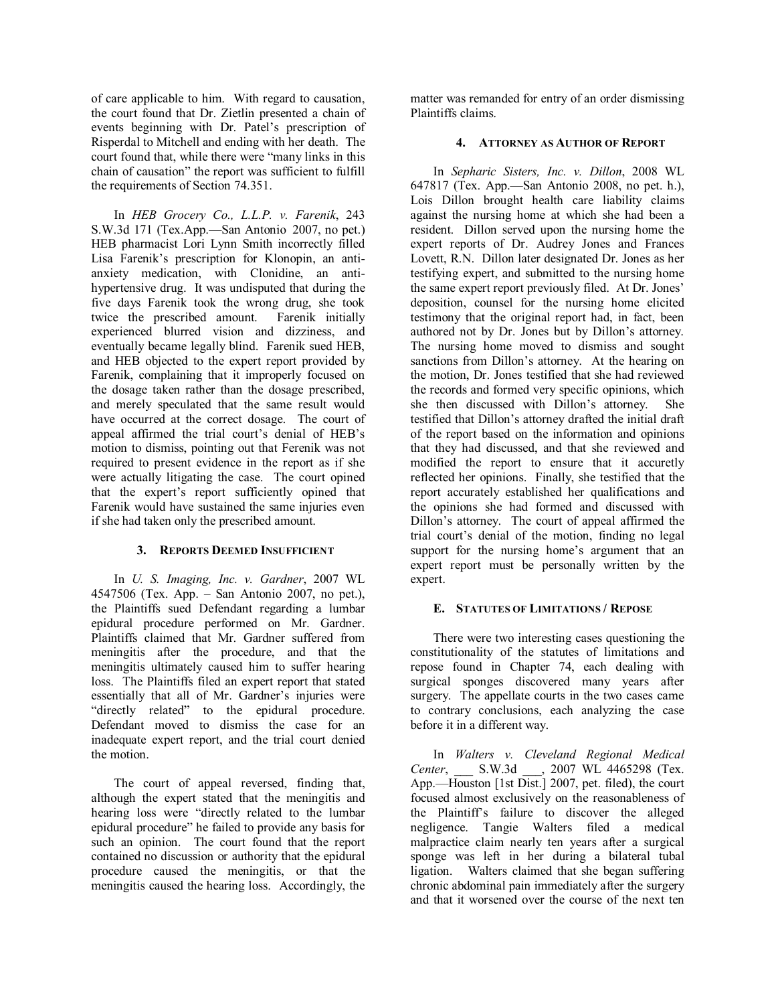of care applicable to him. With regard to causation, the court found that Dr. Zietlin presented a chain of events beginning with Dr. Patel's prescription of Risperdal to Mitchell and ending with her death. The court found that, while there were "many links in this chain of causation" the report was sufficient to fulfill the requirements of Section 74.351.

In *HEB Grocery Co., L.L.P. v. Farenik*, 243 S.W.3d 171 (Tex.App.—San Antonio 2007, no pet.) HEB pharmacist Lori Lynn Smith incorrectly filled Lisa Farenik's prescription for Klonopin, an antianxiety medication, with Clonidine, an antihypertensive drug. It was undisputed that during the five days Farenik took the wrong drug, she took twice the prescribed amount. Farenik initially experienced blurred vision and dizziness, and eventually became legally blind. Farenik sued HEB, and HEB objected to the expert report provided by Farenik, complaining that it improperly focused on the dosage taken rather than the dosage prescribed, and merely speculated that the same result would have occurred at the correct dosage. The court of appeal affirmed the trial court's denial of HEB's motion to dismiss, pointing out that Ferenik was not required to present evidence in the report as if she were actually litigating the case. The court opined that the expert's report sufficiently opined that Farenik would have sustained the same injuries even if she had taken only the prescribed amount.

#### **3. REPORTS DEEMED INSUFFICIENT**

In *U. S. Imaging, Inc. v. Gardner*, 2007 WL 4547506 (Tex. App.  $-$  San Antonio 2007, no pet.), the Plaintiffs sued Defendant regarding a lumbar epidural procedure performed on Mr. Gardner. Plaintiffs claimed that Mr. Gardner suffered from meningitis after the procedure, and that the meningitis ultimately caused him to suffer hearing loss. The Plaintiffs filed an expert report that stated essentially that all of Mr. Gardner's injuries were "directly related" to the epidural procedure. Defendant moved to dismiss the case for an inadequate expert report, and the trial court denied the motion.

 The court of appeal reversed, finding that, although the expert stated that the meningitis and hearing loss were "directly related to the lumbar epidural procedure" he failed to provide any basis for such an opinion. The court found that the report contained no discussion or authority that the epidural procedure caused the meningitis, or that the meningitis caused the hearing loss. Accordingly, the

matter was remanded for entry of an order dismissing Plaintiffs claims.

#### **4. ATTORNEY AS AUTHOR OF REPORT**

In *Sepharic Sisters, Inc. v. Dillon*, 2008 WL  $647817$  (Tex. App.—San Antonio 2008, no pet. h.), Lois Dillon brought health care liability claims against the nursing home at which she had been a resident. Dillon served upon the nursing home the expert reports of Dr. Audrey Jones and Frances Lovett, R.N. Dillon later designated Dr. Jones as her testifying expert, and submitted to the nursing home the same expert report previously filed. At Dr. Jones' deposition, counsel for the nursing home elicited testimony that the original report had, in fact, been authored not by Dr. Jones but by Dillon's attorney. The nursing home moved to dismiss and sought sanctions from Dillon's attorney. At the hearing on the motion, Dr. Jones testified that she had reviewed the records and formed very specific opinions, which she then discussed with Dillon's attorney. She testified that Dillon's attorney drafted the initial draft of the report based on the information and opinions that they had discussed, and that she reviewed and modified the report to ensure that it accuretly reflected her opinions. Finally, she testified that the report accurately established her qualifications and the opinions she had formed and discussed with Dillon's attorney. The court of appeal affirmed the trial court's denial of the motion, finding no legal support for the nursing home's argument that an expert report must be personally written by the expert.

#### **E. STATUTES OF LIMITATIONS / REPOSE**

 There were two interesting cases questioning the constitutionality of the statutes of limitations and repose found in Chapter 74, each dealing with surgical sponges discovered many years after surgery. The appellate courts in the two cases came to contrary conclusions, each analyzing the case before it in a different way.

 In *Walters v. Cleveland Regional Medical Center*, \_\_\_ S.W.3d \_\_\_, 2007 WL 4465298 (Tex. App.—Houston [1st Dist.] 2007, pet. filed), the court focused almost exclusively on the reasonableness of the Plaintiffís failure to discover the alleged negligence. Tangie Walters filed a medical malpractice claim nearly ten years after a surgical sponge was left in her during a bilateral tubal ligation. Walters claimed that she began suffering chronic abdominal pain immediately after the surgery and that it worsened over the course of the next ten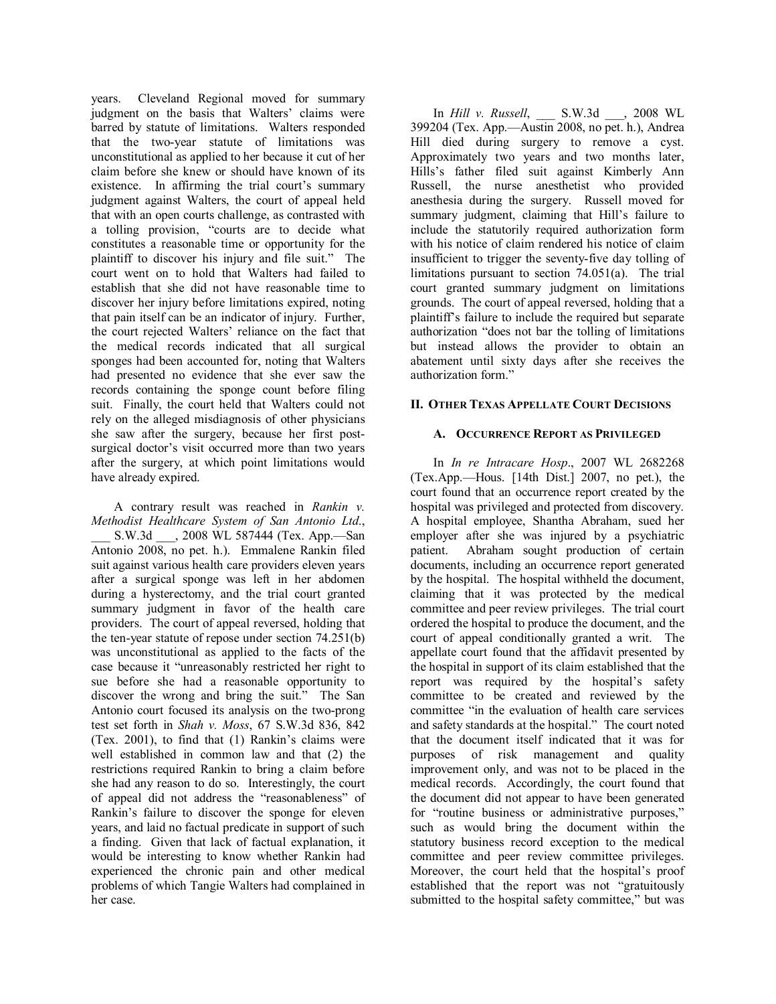years. Cleveland Regional moved for summary judgment on the basis that Walters' claims were barred by statute of limitations. Walters responded that the two-year statute of limitations was unconstitutional as applied to her because it cut of her claim before she knew or should have known of its existence. In affirming the trial court's summary judgment against Walters, the court of appeal held that with an open courts challenge, as contrasted with a tolling provision, "courts are to decide what constitutes a reasonable time or opportunity for the plaintiff to discover his injury and file suit." The court went on to hold that Walters had failed to establish that she did not have reasonable time to discover her injury before limitations expired, noting that pain itself can be an indicator of injury. Further, the court rejected Walters' reliance on the fact that the medical records indicated that all surgical sponges had been accounted for, noting that Walters had presented no evidence that she ever saw the records containing the sponge count before filing suit. Finally, the court held that Walters could not rely on the alleged misdiagnosis of other physicians she saw after the surgery, because her first postsurgical doctor's visit occurred more than two years after the surgery, at which point limitations would have already expired.

 A contrary result was reached in *Rankin v. Methodist Healthcare System of San Antonio Ltd*.,  $\_$  S.W.3d  $\_$ , 2008 WL 587444 (Tex. App.—San Antonio 2008, no pet. h.). Emmalene Rankin filed suit against various health care providers eleven years after a surgical sponge was left in her abdomen during a hysterectomy, and the trial court granted summary judgment in favor of the health care providers. The court of appeal reversed, holding that the ten-year statute of repose under section 74.251(b) was unconstitutional as applied to the facts of the case because it "unreasonably restricted her right to sue before she had a reasonable opportunity to discover the wrong and bring the suit." The San Antonio court focused its analysis on the two-prong test set forth in *Shah v. Moss*, 67 S.W.3d 836, 842  $(Tex. 2001)$ , to find that  $(1)$  Rankin's claims were well established in common law and that (2) the restrictions required Rankin to bring a claim before she had any reason to do so. Interestingly, the court of appeal did not address the "reasonableness" of Rankin's failure to discover the sponge for eleven years, and laid no factual predicate in support of such a finding. Given that lack of factual explanation, it would be interesting to know whether Rankin had experienced the chronic pain and other medical problems of which Tangie Walters had complained in her case.

 In *Hill v. Russell*, \_\_\_ S.W.3d \_\_\_, 2008 WL 399204 (Tex. App.—Austin 2008, no pet. h.), Andrea Hill died during surgery to remove a cyst. Approximately two years and two months later, Hills's father filed suit against Kimberly Ann Russell, the nurse anesthetist who provided anesthesia during the surgery. Russell moved for summary judgment, claiming that Hill's failure to include the statutorily required authorization form with his notice of claim rendered his notice of claim insufficient to trigger the seventy-five day tolling of limitations pursuant to section 74.051(a). The trial court granted summary judgment on limitations grounds. The court of appeal reversed, holding that a plaintiff's failure to include the required but separate authorization "does not bar the tolling of limitations" but instead allows the provider to obtain an abatement until sixty days after she receives the authorization form."

#### **II. OTHER TEXAS APPELLATE COURT DECISIONS**

#### **A. OCCURRENCE REPORT AS PRIVILEGED**

In *In re Intracare Hosp*., 2007 WL 2682268  $(Tex. App. -House.$  [14th Dist.] 2007, no pet.), the court found that an occurrence report created by the hospital was privileged and protected from discovery. A hospital employee, Shantha Abraham, sued her employer after she was injured by a psychiatric patient. Abraham sought production of certain documents, including an occurrence report generated by the hospital. The hospital withheld the document, claiming that it was protected by the medical committee and peer review privileges. The trial court ordered the hospital to produce the document, and the court of appeal conditionally granted a writ. The appellate court found that the affidavit presented by the hospital in support of its claim established that the report was required by the hospital's safety committee to be created and reviewed by the committee "in the evaluation of health care services and safety standards at the hospital." The court noted that the document itself indicated that it was for purposes of risk management and quality improvement only, and was not to be placed in the medical records. Accordingly, the court found that the document did not appear to have been generated for "routine business or administrative purposes," such as would bring the document within the statutory business record exception to the medical committee and peer review committee privileges. Moreover, the court held that the hospital's proof established that the report was not "gratuitously submitted to the hospital safety committee," but was